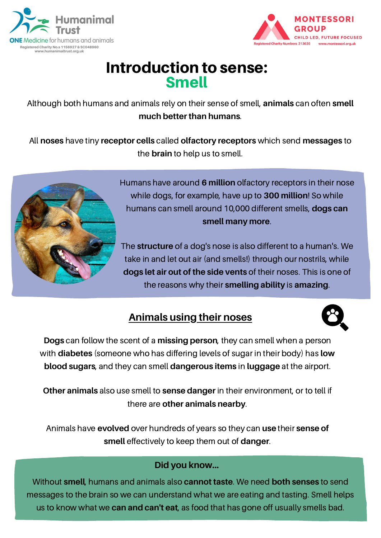



## Introduction to sense: Smell

Although both humans and animals rely on their sense of smell, **animals** can often **smell much better than humans**.

All **noses** have tiny **receptor cells** called **olfactory receptors** which send **messages** to the **brain** to help us to smell.



Humans have around **6 million** olfactory receptors in their nose while dogs, for example, have up to **300 million**! So while humans can smell around 10,000 different smells, **dogs can smell many more**.

The **structure** of a dog's nose is also different to a human's. We take in and let out air (and smells!) through our nostrils, while **dogs let air out of the side vents** of their noses. This is one of the reasons why their **smelling ability** is **amazing**.

### **Animals using their noses**



**Dogs** can follow the scent of a **missing person**, they can smell when a person with **diabetes** (someone who has differing levels of sugar in their body) has **low blood sugars**, and they can smell **dangerous items** in **luggage** at the airport.

**Other animals** also use smell to **sense danger** in their environment, or to tell if there are **other animals nearby**.

Animals have **evolved** over hundreds of years so they can **use** their **sense of smell** effectively to keep them out of **danger**.

#### **Did you know...**

Without **smell**, humans and animals also **cannot taste**. We need **both senses** to send messages to the brain so we can understand what we are eating and tasting. Smell helps us to know what we **can and can't eat**, as food that has gone off usually smells bad.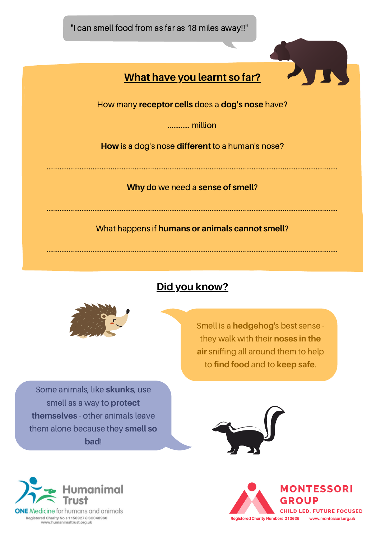



#### **Did you know?**



Smell is a **hedgehog**'s best sense they walk with their **noses in the air** sniffing all around them to help to **find food** and to **keep safe**.

Some animals, like **skunks**, use smell as a way to **protect themselves** - other animals leave them alone because they **smell so bad**!



Registered Charity No.s 1156927 & SC048960<br>www.humanimaltrust.org.uk



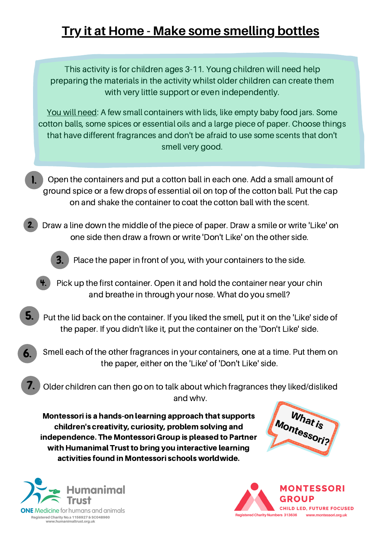# **Try it at Home - Make some smelling bottles**

This activity is for children ages 3-11. Young children will need help preparing the materials in the activity whilst older children can create them with very little support or even independently.

You will need: A few small containers with lids, like empty baby food jars. Some cotton balls, some spices or essential oils and a large piece of paper. Choose things that have different fragrances and don't be afraid to use some scents that don't smell very good.

Open the containers and put a cotton ball in each one. Add a small amount of ground spice or a few drops of essential oil on top of the cotton ball. Put the cap on and shake the container to coat the cotton ball with the scent. 1.

Draw a line down the middle of the piece of paper. Draw a smile or write 'Like' on one side then draw a frown or write 'Don't Like' on the other side. 2.



Place the paper in front of you, with your containers to the side.

- Pick up the first container. Open it and hold the container near your chin and breathe in through your nose. What do you smell? 4.
- Put the lid back on the container. If you liked the smell, put it on the 'Like' side of the paper. If you didn't like it, put the container on the 'Don't Like' side. 5.
- Smell each of the other fragrances in your containers, one at a time. Put them on the paper, either on the 'Like' of 'Don't Like' side. 6.
- Older children can then go on to talk about which fragrances they liked/disliked and why. 7.

Montessori is a hands-on learning approach that supports children's creativity, curiosity, problem solving and independence. The Montessori Group is pleased to Partner with Humanimal Trust to bring you interactive learning activities found in Montessori schools worldwide.





www.humanimaltrust.org.uk